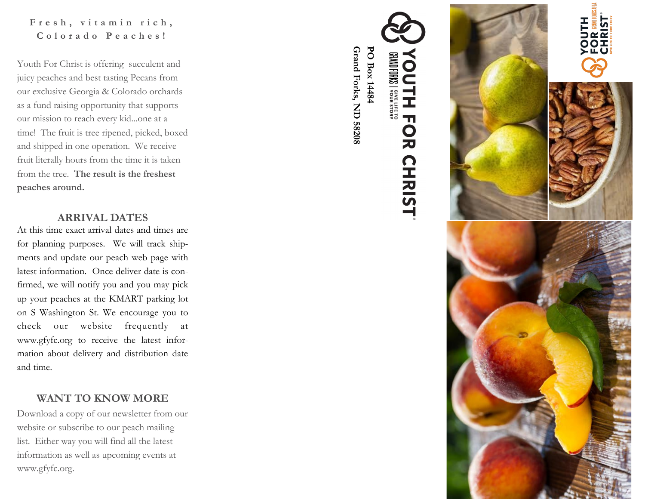### Fresh, vitamin rich, **C o l o r a d o P e a c h e s !**

Youth For Christ is offering succulent and juicy peaches and best tasting Pecans from our exclusive Georgia & Colorado orchards as a fund raising opportunity that supports our mission to reach every kid...one at a time! The fruit is tree ripened, picked, boxed and shipped in one operation. We receive fruit literally hours from the time it is taken from the tree. **The result is the freshest peaches around.**

#### **ARRIVAL DATES**

At this time exact arrival dates and times are for planning purposes. We will track shipments and update our peach web page with latest information. Once deliver date is confirmed, we will notify you and you may pick up your peaches at the KMART parking lot on S Washington St. We encourage you to check our website frequently at www.gfyfc.org to receive the latest information about delivery and distribution date and time.

### **WANT TO KNOW MORE**

Download a copy of our newsletter from our website or subscribe to our peach mailing list. Either way you will find all the latest information as well as upcoming events at www.gfyfc.org.



**Grand Forks, ND 58208**

Grand Forks, ND 58208

PO Box 14484 **PO Box 14484**

**ANAID FORKS | Sure Life TO** 

Í

Ţ  $\mathbf \Omega$ 

**RISHRIST**